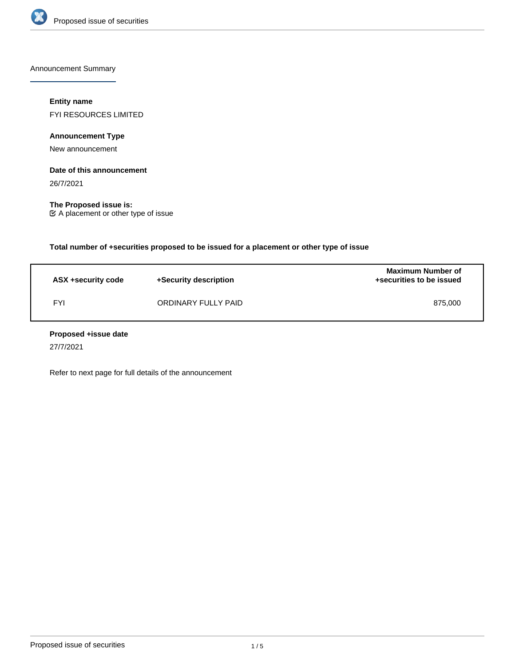

Announcement Summary

## **Entity name**

FYI RESOURCES LIMITED

**Announcement Type**

New announcement

#### **Date of this announcement**

26/7/2021

**The Proposed issue is:** A placement or other type of issue

**Total number of +securities proposed to be issued for a placement or other type of issue**

| ASX +security code | +Security description | <b>Maximum Number of</b><br>+securities to be issued |
|--------------------|-----------------------|------------------------------------------------------|
| <b>FYI</b>         | ORDINARY FULLY PAID   | 875.000                                              |

#### **Proposed +issue date**

27/7/2021

Refer to next page for full details of the announcement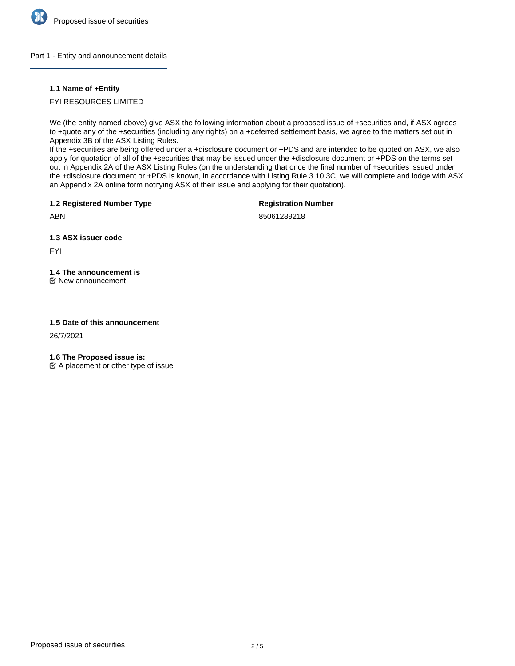

#### Part 1 - Entity and announcement details

#### **1.1 Name of +Entity**

## FYI RESOURCES LIMITED

We (the entity named above) give ASX the following information about a proposed issue of +securities and, if ASX agrees to +quote any of the +securities (including any rights) on a +deferred settlement basis, we agree to the matters set out in Appendix 3B of the ASX Listing Rules.

If the +securities are being offered under a +disclosure document or +PDS and are intended to be quoted on ASX, we also apply for quotation of all of the +securities that may be issued under the +disclosure document or +PDS on the terms set out in Appendix 2A of the ASX Listing Rules (on the understanding that once the final number of +securities issued under the +disclosure document or +PDS is known, in accordance with Listing Rule 3.10.3C, we will complete and lodge with ASX an Appendix 2A online form notifying ASX of their issue and applying for their quotation).

**1.2 Registered Number Type**

**Registration Number**

ABN

85061289218

**1.3 ASX issuer code**

FYI

# **1.4 The announcement is**

New announcement

#### **1.5 Date of this announcement**

26/7/2021

**1.6 The Proposed issue is:**

 $\mathfrak{C}$  A placement or other type of issue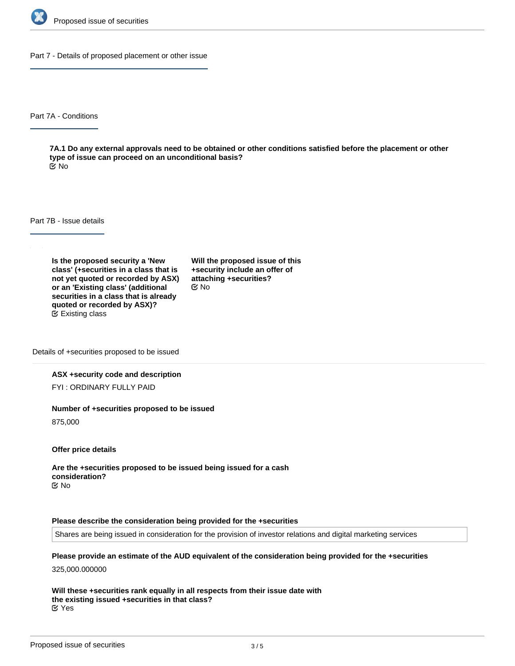

Part 7 - Details of proposed placement or other issue

Part 7A - Conditions

**7A.1 Do any external approvals need to be obtained or other conditions satisfied before the placement or other type of issue can proceed on an unconditional basis?** No

Part 7B - Issue details

**Is the proposed security a 'New class' (+securities in a class that is not yet quoted or recorded by ASX) or an 'Existing class' (additional securities in a class that is already quoted or recorded by ASX)?** Existing class

**Will the proposed issue of this +security include an offer of attaching +securities?** No

Details of +securities proposed to be issued

#### **ASX +security code and description**

FYI : ORDINARY FULLY PAID

#### **Number of +securities proposed to be issued**

875,000

**Offer price details**

**Are the +securities proposed to be issued being issued for a cash consideration?** No

#### **Please describe the consideration being provided for the +securities**

Shares are being issued in consideration for the provision of investor relations and digital marketing services

**Please provide an estimate of the AUD equivalent of the consideration being provided for the +securities**

325,000.000000

**Will these +securities rank equally in all respects from their issue date with the existing issued +securities in that class?** Yes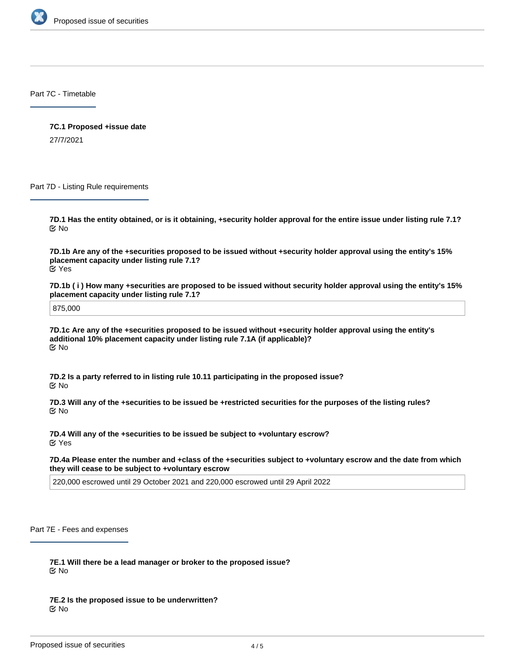

Part 7C - Timetable

**7C.1 Proposed +issue date** 27/7/2021

Part 7D - Listing Rule requirements

**7D.1 Has the entity obtained, or is it obtaining, +security holder approval for the entire issue under listing rule 7.1?** No

**7D.1b Are any of the +securities proposed to be issued without +security holder approval using the entity's 15% placement capacity under listing rule 7.1?** Yes

**7D.1b ( i ) How many +securities are proposed to be issued without security holder approval using the entity's 15% placement capacity under listing rule 7.1?**

875,000

**7D.1c Are any of the +securities proposed to be issued without +security holder approval using the entity's additional 10% placement capacity under listing rule 7.1A (if applicable)?** No

**7D.2 Is a party referred to in listing rule 10.11 participating in the proposed issue?** No

**7D.3 Will any of the +securities to be issued be +restricted securities for the purposes of the listing rules?** No

**7D.4 Will any of the +securities to be issued be subject to +voluntary escrow?** Yes

**7D.4a Please enter the number and +class of the +securities subject to +voluntary escrow and the date from which they will cease to be subject to +voluntary escrow**

220,000 escrowed until 29 October 2021 and 220,000 escrowed until 29 April 2022

Part 7E - Fees and expenses

**7E.1 Will there be a lead manager or broker to the proposed issue?** No

**7E.2 Is the proposed issue to be underwritten?** No